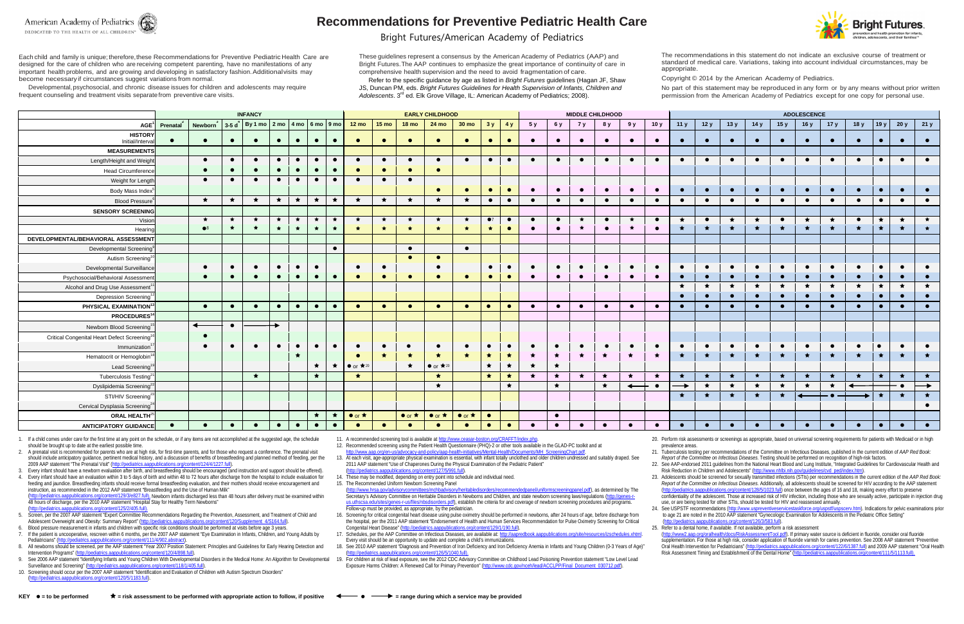

# **Recommendations for Preventive Pediatric Health Care**

### Bright Futures/American Academy of Pediatrics

Each child and family is unique; therefore,these Recommendations for Preventive Pediatric Health Care are designed for the care of children who are receiving competent parenting, have no manifestations of any important health problems, and are growing and developing in satisfactory fashion.Additionalvisits may become necessary if circumstances suggest variations from normal.

Developmental, psychosocial, and chronic disease issues for children and adolescents may require frequent counseling and treatment visits separate from preventive care visits.

These guidelines represent a consensus by the American Academy of Pediatrics (AAP) and Bright Futures.The AAP continues to emphasize the great importance of continuity of care in comprehensive health supervision and the need to avoid fragmentation of care.

Refer to the specific guidance by age as listed in *Bright Futures* guidelines (Hagan JF, Shaw JS, Duncan PM, eds. *Bright Futures Guidelines for Health Supervision of Infants, Children and Adolescents*. 3rd ed. Elk Grove Village, IL: American Academy of Pediatrics; 2008).

The recommendations in this statement do not indicate an exclusive course of treatment or standard of medical care. Variations, taking into account individual circumstances, may be

appropriate.

Copyright © 2014 by the American Academy of Pediatrics.

No part of this statement may be reproduced in any form or by any means without prior written permission from the American Academy of Pediatrics except for one copy for personal use.

Adolescent Overweight and Obesity: Summary Report" [\(http://pediatrics.aappublications.org/content/120/Supplement\\_4/S164.full\).](http://pediatrics.aappublications.org/content/120/Supplement_4/S164.full) Blood pressure measurement in infants and children with specific risk conditions should be performed at visits before age 3 years.

|                                                         | <b>INFANCY</b> |                                                                                                                       |           |           |           |            |           |           |                                | <b>EARLY CHILDHOOD</b> |                      |                         |                      |                        |           |            | <b>MIDDLE CHILDHOOD</b> |            |           |              |           |               | <b>ADOLESCENCE</b> |            |           |           |           |           |            |           |               |               |  |
|---------------------------------------------------------|----------------|-----------------------------------------------------------------------------------------------------------------------|-----------|-----------|-----------|------------|-----------|-----------|--------------------------------|------------------------|----------------------|-------------------------|----------------------|------------------------|-----------|------------|-------------------------|------------|-----------|--------------|-----------|---------------|--------------------|------------|-----------|-----------|-----------|-----------|------------|-----------|---------------|---------------|--|
| AGE <sup>1</sup>                                        | Prenatal       | Newborn $3\left[3\text{-}5\text{ d}^4\right]$ By 1 mo $\left[2\text{ mo}\right]$ 4 mo $\left[6\text{ mo}\right]$ 9 mo |           |           |           |            |           |           | $12 \text{ mo}$                | $15 \text{ mo}$        | <b>18 mo</b>         | 24 mo                   | 30 <sub>mo</sub>     | 3y                     | 4y        | 5 y        | 6 y                     | 7y         | 8 y       | 9y           | 10y       | 11y           | 12y                | 13y        | 14y       | 15y       | 16y       | 17y       | 18y        | 19 y      | 20y           | 21y           |  |
| <b>HISTORY</b><br>Initial/Interva                       |                | $\bullet$                                                                                                             | $\bullet$ | $\bullet$ | $\bullet$ | $\bullet$  | $\bullet$ | $\bullet$ |                                | $\bullet$              |                      | $\bullet$               | $\bullet$            | $\bullet$              | $\bullet$ |            | $\bullet$               |            | $\bullet$ | $\bullet$    | $\bullet$ | $\bullet$     | $\bullet$          | $\bullet$  | $\bullet$ | $\bullet$ | $\bullet$ |           |            | $\bullet$ |               |               |  |
| <b>MEASUREMENTS</b>                                     |                |                                                                                                                       |           |           |           |            |           |           |                                |                        |                      |                         |                      |                        |           |            |                         |            |           |              |           |               |                    |            |           |           |           |           |            |           |               |               |  |
| Length/Height and Weigh                                 |                | $\bullet$                                                                                                             | $\bullet$ | $\bullet$ | $\bullet$ | $\bullet$  | $\bullet$ | $\bullet$ | $\bullet$                      | $\bullet$              | $\bullet$            | $\bullet$               | $\bullet$            | $\bullet$              | $\bullet$ |            | $\bullet$               | $\bullet$  | $\bullet$ | $\bullet$    | $\bullet$ | $\bullet$     | $\bullet$          | $\bullet$  | $\bullet$ | $\bullet$ | $\bullet$ | $\bullet$ | $\bullet$  | $\bullet$ | $\bullet$     |               |  |
| Head Circumference                                      |                | $\bullet$                                                                                                             | $\bullet$ | $\bullet$ | $\bullet$ | $\bullet$  | $\bullet$ | $\bullet$ | $\bullet$                      | $\bullet$              | $\bullet$            | $\bullet$               |                      |                        |           |            |                         |            |           |              |           |               |                    |            |           |           |           |           |            |           |               |               |  |
| Weight for Length                                       |                | $\bullet$                                                                                                             | $\bullet$ | $\bullet$ | $\bullet$ | $\bullet$  | $\bullet$ | $\bullet$ | $\bullet$                      | $\bullet$              | $\bullet$            |                         |                      |                        |           |            |                         |            |           |              |           |               |                    |            |           |           |           |           |            |           |               |               |  |
| <b>Body Mass Index</b>                                  |                |                                                                                                                       |           |           |           |            |           |           |                                |                        |                      | $\bullet$               | $\bullet$            | $\bullet$              | $\bullet$ | $\bullet$  | $\bullet$               | $\bullet$  | $\bullet$ | $\bullet$    | $\bullet$ | $\bullet$     | $\bullet$          | $\bullet$  | $\bullet$ | $\bullet$ | $\bullet$ | $\bullet$ | $\bullet$  | $\bullet$ | $\bullet$     | $\bullet$     |  |
| <b>Blood Pressure</b>                                   |                | $\star$                                                                                                               | $\star$   | $\star$   | $\star$   | $\bigstar$ | $\star$   | $\star$   | $\star$                        | $\star$                | $\star$              | $\star$                 | $\star$              | $\bullet$              | $\bullet$ |            | $\bullet$               | $\bullet$  | $\bullet$ | $\bullet$    | $\bullet$ | $\bullet$     | $\bullet$          | $\bullet$  | $\bullet$ | $\bullet$ | $\bullet$ | $\bullet$ | $\bullet$  | $\bullet$ | $\bullet$     | $\bullet$     |  |
| <b>SENSORY SCREENING</b>                                |                |                                                                                                                       |           |           |           |            |           |           |                                |                        |                      |                         |                      |                        |           |            |                         |            |           |              |           |               |                    |            |           |           |           |           |            |           |               |               |  |
| Visior                                                  |                | $\star$                                                                                                               | $\star$   | $\star$   | $\star$   | $\star$    | $\star$   | $\star$   | $\star$                        | $\star$                | $\star$              | $\star$                 | $\star$              | $\bullet$ <sup>7</sup> | $\bullet$ | $\bullet$  | $\bullet$               | ★          | $\bullet$ | $\star$      | $\bullet$ | $\star$       | $\bullet$          | $\star$    | $\star$   | $\bullet$ | ★         | $\star$   | $\bullet$  | $\star$   | $\star$       | $\star$       |  |
| Hearino                                                 |                | $\bullet$ <sup>8</sup>                                                                                                | $\star$   | $\star$   | $\star$   | $\star$    | $\bullet$ | $\star$   | $\bigstar$                     | $\star$                | $\bigstar$           | $\star$                 | $\star$              | $\star$                | $\bullet$ | $\bullet$  | $\bullet$               | $\bullet$  | $\bullet$ | $\star$      | $\bullet$ | $\rightarrow$ | $\bigstar$         | $\bigstar$ | $\star$   | $\star$   | $\star$   | $\star$   | $\bigstar$ | $\star$   | $\bigstar$    |               |  |
| DEVELOPMENTAL/BEHAVIORAL ASSESSMENT                     |                |                                                                                                                       |           |           |           |            |           |           |                                |                        |                      |                         |                      |                        |           |            |                         |            |           |              |           |               |                    |            |           |           |           |           |            |           |               |               |  |
| Developmental Screening                                 |                |                                                                                                                       |           |           |           |            |           | $\bullet$ |                                |                        | $\bullet$            |                         | $\bullet$            |                        |           |            |                         |            |           |              |           |               |                    |            |           |           |           |           |            |           |               |               |  |
| Autism Screening <sup>1</sup>                           |                |                                                                                                                       |           |           |           |            |           |           |                                |                        | $\bullet$            | $\bullet$               |                      |                        |           |            |                         |            |           |              |           |               |                    |            |           |           |           |           |            |           |               |               |  |
| Developmental Surveillance                              |                | $\bullet$                                                                                                             | $\bullet$ | $\bullet$ | $\bullet$ | $\bullet$  | $\bullet$ |           | $\bullet$                      | $\bullet$              |                      | $\bullet$               |                      | $\bullet$              | $\bullet$ | $\bullet$  | $\bullet$               | $\bullet$  | $\bullet$ | $\bullet$    | $\bullet$ | $\bullet$     | $\bullet$          | $\bullet$  | $\bullet$ | $\bullet$ | $\bullet$ | $\bullet$ | $\bullet$  | $\bullet$ | $\bullet$     | $\bullet$     |  |
| Psychosocial/Behavioral Assessmen                       |                | $\bullet$                                                                                                             | $\bullet$ | $\bullet$ | $\bullet$ | $\bullet$  | $\bullet$ | $\bullet$ | $\bullet$                      | $\bullet$              | $\bullet$            | $\bullet$               | $\bullet$            | $\bullet$              | $\bullet$ | $\bullet$  | $\bullet$               | $\bullet$  | $\bullet$ | $\bullet$    | $\bullet$ | $\bullet$     | $\bullet$          | $\bullet$  | $\bullet$ | $\bullet$ | $\bullet$ | $\bullet$ |            | $\bullet$ | $\bullet$     | $\bullet$     |  |
| Alcohol and Drug Use Assessment <sup>1</sup>            |                |                                                                                                                       |           |           |           |            |           |           |                                |                        |                      |                         |                      |                        |           |            |                         |            |           |              |           | $\star$       | $\star$            | $\star$    | $\star$   | $\star$   | $\star$   | $\star$   | $\star$    | $\star$   | $\star$       | $\star$       |  |
| Depression Screening <sup>1</sup>                       |                |                                                                                                                       |           |           |           |            |           |           |                                |                        |                      |                         |                      |                        |           |            |                         |            |           |              |           | $\bullet$     | $\bullet$          | $\bullet$  | $\bullet$ | $\bullet$ | $\bullet$ | $\bullet$ | $\bullet$  | $\bullet$ | $\bullet$     | $\bullet$     |  |
| PHYSICAL EXAMINATION <sup>1</sup>                       |                | $\bullet$                                                                                                             | $\bullet$ | $\bullet$ | $\bullet$ | $\bullet$  | $\bullet$ | $\bullet$ | $\bullet$                      | $\bullet$              | $\bullet$            | $\bullet$               | $\bullet$            | $\bullet$              | $\bullet$ | $\bullet$  | $\bullet$               | $\bullet$  | $\bullet$ | $\bullet$    | $\bullet$ | $\bullet$     | $\bullet$          | $\bullet$  | $\bullet$ | $\bullet$ | $\bullet$ | $\bullet$ |            | $\bullet$ | $\bullet$     | $\bullet$     |  |
| PROCEDURES <sup>1</sup>                                 |                |                                                                                                                       |           |           |           |            |           |           |                                |                        |                      |                         |                      |                        |           |            |                         |            |           |              |           |               |                    |            |           |           |           |           |            |           |               |               |  |
| Newborn Blood Screening <sup>1</sup>                    |                | $\leftarrow$                                                                                                          | $\bullet$ |           |           |            |           |           |                                |                        |                      |                         |                      |                        |           |            |                         |            |           |              |           |               |                    |            |           |           |           |           |            |           |               |               |  |
| Critical Congenital Heart Defect Screening <sup>1</sup> |                | $\bullet$                                                                                                             |           |           |           |            |           |           |                                |                        |                      |                         |                      |                        |           |            |                         |            |           |              |           |               |                    |            |           |           |           |           |            |           |               |               |  |
| Immunization <sup>1</sup>                               |                | $\bullet$                                                                                                             | $\bullet$ | $\bullet$ | $\bullet$ | $\bullet$  | $\bullet$ | $\bullet$ | $\bullet$                      | $\bullet$              | $\bullet$            | $\bullet$               | $\bullet$            | $\bullet$              | $\bullet$ | $\bullet$  | $\bullet$               | $\bullet$  | $\bullet$ | $\bullet$    | $\bullet$ | $\bullet$     | $\bullet$          | $\bullet$  | $\bullet$ | $\bullet$ | $\bullet$ | $\bullet$ | $\bullet$  | $\bullet$ | $\bullet$     | $\bullet$     |  |
| Hematocrit or Hemoglobin                                |                |                                                                                                                       |           |           |           | $\star$    |           |           | $\bullet$                      | $\star$                | $\star$              | $\star$                 | $\star$              | $\star$                | $\star$   | $\star$    | $\star$                 | $\star$    | $\star$   | $\star$      | $\star$   | $\star$       | $\star$            | $\star$    | $\star$   | $\star$   | $\star$   | $\star$   | $\star$    | $\star$   | $\star$       | $\star$       |  |
| Lead Screening <sup>1</sup>                             |                |                                                                                                                       |           |           |           |            | $\star$   |           | $\star$   $\bullet$ or $\star$ |                        | $\star$              | $\bullet$ or $\star$ 20 |                      | $\bigstar$             | $\star$   | ★          | $\star$                 |            |           |              |           |               |                    |            |           |           |           |           |            |           |               |               |  |
| Tuberculosis Testing <sup>2</sup>                       |                |                                                                                                                       |           | $\star$   |           |            | $\star$   |           | $\star$                        |                        |                      | $\star$                 |                      | $\star$                | $\star$   | $\bigstar$ | $\star$                 | $\bigstar$ | ◆         | $\star$      | $\star$   | $\star$       | $\star$            | $\star$    | $\star$   | ★         | ★         | $\star$   | $\star$    | $\star$   | $\bigstar$    | $\star$       |  |
| Dyslipidemia Screening <sup>2</sup>                     |                |                                                                                                                       |           |           |           |            |           |           |                                |                        |                      | $\star$                 |                      |                        | $\star$   |            | $\star$                 |            | $\star$   | $\leftarrow$ | $\bullet$ | $\rightarrow$ | $\star$            | $\star$    | $\star$   | $\star$   | $\star$   | $\star$   |            |           | ∙ ●           | $\rightarrow$ |  |
| STI/HIV Screening <sup>2</sup>                          |                |                                                                                                                       |           |           |           |            |           |           |                                |                        |                      |                         |                      |                        |           |            |                         |            |           |              |           | $\star$       | $\bullet$          | $\star$    | $\star$   | $\star$   | ▗         |           |            | $\star$   | $\rightarrow$ | $\star$       |  |
| Cervical Dysplasia Screening <sup>2</sup>               |                |                                                                                                                       |           |           |           |            |           |           |                                |                        |                      |                         |                      |                        |           |            |                         |            |           |              |           |               |                    |            |           |           |           |           |            |           |               | $\bullet$     |  |
| ORAL HEALTH <sup>2</sup>                                |                |                                                                                                                       |           |           |           |            | $\star$   | $\star$   | $\bullet$ or $\star$           |                        | $\bullet$ or $\star$ | $\bullet$ or $\star$    | $\bullet$ or $\star$ | $\bullet$              |           |            | $\bullet$               |            |           |              |           |               |                    |            |           |           |           |           |            |           |               |               |  |
| <b>ANTICIPATORY GUIDANCE</b>                            | $\bullet$      | $\bullet$                                                                                                             | $\bullet$ | $\bullet$ | $\bullet$ | $\bullet$  | $\bullet$ | $\bullet$ | $\bullet$                      | $\bullet$              |                      | $\bullet$               | $\bullet$            | $\bullet$              | $\bullet$ | $\bullet$  | $\bullet$               | $\bullet$  | $\bullet$ | $\bullet$    | $\bullet$ | $\bullet$     | $\bullet$          | $\bullet$  | $\bullet$ | $\bullet$ | $\bullet$ | $\bullet$ | $\bullet$  | $\bullet$ | $\bullet$     | $\bullet$     |  |

- 8. All newborns should be screened, per the AAP statement "Year 2007 Position Statement: Principles and Guidelines for Early Hearing Detection and Intervention Programs" [\(http://pediatrics.aappublications.org/content/120/4/898.full\).](http://pediatrics.aappublications.org/content/120/4/898.full)
- 9. See 2006 AAP statement "Identifying Infants and Young Children With Developmental Disorders in the Medical Home: An Algorithm for Developmental Surveillance and Screening" [\(http://pediatrics.aappublications.org/content/118/1/405.full\).](http://pediatrics.aappublications.org/content/118/1/405.full)
- 10. Screening should occur per the 2007 AAP statement "Identification and Evaluation of Children with Autism Spectrum Disorders" trics.aappublications.org/content/120/5/1183.full)

11. A recommended screening tool is available at http://www.ceasar-boston.org/CRAFFT/index.php.

13. At each visit, age-appropriate physical examination is essential, with infant totally unclothed and older children undressed and suitably draped. See 2011 AAP statement "Use of Chaperones During the Physical Examination of the Pediatric Patient" (http://pediatrics.aappublications.org/content/127/5/991.full

1. If a child comes under care for the first time at any point on the schedule, or if any items are not accomplished at the suggested age, the schedule should be brought up to date at the earliest possible time.

- 2. A prenatal visit is recommended for parents who are at high risk, for first-time parents, and for those who request a conference. The prenatal visit should include anticipatory guidance, pertinent medical history, and a discussion of benefits of breastfeeding and planned method of feeding, per the 2009 AAP statement "The Prenatal Visit" [\(http://pediatrics.aappublications.org/content/124/4/1227.full\).](http://pediatrics.aappublications.org/content/124/4/1227.full)
- 3. Every infant should have a newborn evaluation after birth, and breastfeeding should be encouraged (and instruction and support should be offered).

22. See AAP-endorsed 2011 guidelines from the National Heart Blood and Lung Institute, "Integrated Guidelines for Cardiovascular Health and Risk Reduction in Children and Adolescents" [\(http://www.nhlbi.nih.gov/guidelines/cvd\\_ped/index.htm\).](http://www.nhlbi.nih.gov/guidelines/cvd_ped/index.htm)

4. Every infant should have an evaluation within 3 to 5 days of birth and within 48 to 72 hours after discharge from the hospital to include evaluation for feeding and jaundice. Breastfeeding infants should receive formal breastfeeding evaluation, and their mothers should receive encouragement and instruction, as recommended in the 2012 AAP statement "Breastfeeding and the Use of Human Milk" [\(http://pediatrics.aappublications.org/content/129/3/e827.full\).](http://pediatrics.aappublications.org/content/129/3/e827.full) Newborn infants discharged less than 48 hours after delivery must be examined within 48 hours of discharge, per the 2010 AAP statement "Hospital Stay for Healthy Term Newborns"

[\(http://pediatrics.aappublications.org/content/125/2/405.full\).](http://pediatrics.aappublications.org/content/125/2/405.full) 5. Screen, per the 2007 AAP statement "Expert Committee Recommendations Regarding the Prevention, Assessment, and Treatment of Child and

[\(http://pediatrics.aappublications.org/content/126/3/583.full\)](http://pediatrics.aappublications.org/content/126/3/583.full). 25. Refer to a dental home, if available. If not available, perform a risk assessment [\(http://www2.aap.org/oralhealth/docs/RiskAssessmentTool.pdf\).](http://www2.aap.org/oralhealth/docs/RiskAssessmentTool.pdf) If primary water source is deficient in fluoride, consider oral fluoride supplementation. For those at high risk, consider application of fluoride varnish for caries prevention. See 2008 AAP statement "Preventive Oral Health Intervention for Pediatricians" [\(http://pediatrics.aappublications.org/content/122/6/1387.full\)](http://pediatrics.aappublications.org/content/122/6/1387.full) and 2009 AAP statement "Oral Health"<br>Risk Assessment Timing and Establishment of the Dental Home" (http://pediatri Risk Assessment Timing and Establishment of the Dental Home" (http://pediatrics.aappublications.org



7. If the patient is uncooperative, rescreen within 6 months, per the 2007 AAP statement "Eye Examination in Infants, Children, and Young Adults by Pediatricians" [\(http://pediatrics.aappublications.org/content/111/4/902.abstract\).](http://pediatrics.aappublications.org/content/111/4/902.abstract)

12. Recommended screening using the Patient Health Questionnaire (PHQ)-2 or other tools available in the GLAD-PC toolkit and at [http://www.aap.org/en-us/advocacy-and-policy/aap-health-initiatives/Mental-Health/Documents/MH\\_ScreeningChart.pdf.](http://www.aap.org/en-us/advocacy-and-policy/aap-health-initiatives/Mental-Health/Documents/MH_ScreeningChart.pdf)

14. These may be modified, depending on entry point into schedule and individual need.

15. The Recommended Uniform Newborn Screening Panel

- [\(http://www.hrsa.gov/advisorycommittees/mchbadvisory/heritabledisorders/recommendedpanel/uniformscreeningpanel.pdf\),](http://www.hrsa.gov/advisorycommittees/mchbadvisory/heritabledisorders/recommendedpanel/uniformscreeningpanel.pdf) as determined by The Secretary's Advisory Committee on Heritable Disorders in Newborns and Children, and state newborn screening laws/regulations [\(http://genes-r](http://genes-r-us.uthscsa.edu/sites/genes-r-us/files/nbsdisorders.pdf)[us.uthscsa.edu/sites/genes-r-us/files/nbsdisorders.pdf\),](http://genes-r-us.uthscsa.edu/sites/genes-r-us/files/nbsdisorders.pdf) establish the criteria for and coverage of newborn screening procedures and programs. Follow-up must be provided, as appropriate, by the pediatrician.
- 16. Screening for critical congenital heart disease using pulse oximetry should be performed in newborns, after 24 hours of age, before discharge from the hospital, per the 2011 AAP statement "Endorsement of Health and Human Services Recommendation for Pulse Oximetry Screening for Critical Congenital Heart Disease" [\(http://pediatrics.aappublications.org/content/129/1/190.full\)](http://pediatrics.aappublications.org/content/129/1/190.full).
- 17. Schedules, per the AAP Committee on Infectious Diseases, are available at: http://aapredbook.aappublications.org/site/resources/izschedules.xhtml. Every visit should be an opportunity to update and complete a child's immunizations.
- 18. See 2010 AAP statement "Diagnosis and Prevention of Iron Deficiency and Iron Deficiency Anemia in Infants and Young Children (0-3 Years of Age)"
- [\(http://pediatrics.aappublications.org/content/126/5/1040.full\).](http://pediatrics.aappublications.org/content/126/5/1040.full) 19. For children at risk of lead exposure, see the 2012 CDC Advisory Committee on Childhood Lead Poisoning Prevention statement "Low Level Lead Exposure Harms Children: A Renewed Call for Primary Prevention" [\(http://www.cdc.gov/nceh/lead/ACCLPP/Final\\_Document\\_030712.pdf\)](http://www.cdc.gov/nceh/lead/ACCLPP/Final_Document_030712.pdf).

20. Perform risk assessments or screenings as appropriate, based on universal screening requirements for patients with Medicaid or in high

- prevalence areas.
- 

21. Tuberculosis testing per recommendations of the Committee on Infectious Diseases, published in the current edition of *AAP Red Book: Report of the Committee on Infectious Diseases.* Testing should be performed on recognition of high-risk factors.

23. Adolescents should be screened for sexually transmitted infections (STIs) per recommendations in the current edition of the *AAP Red Book: Report of the Committee on Infectious Diseases.* Additionally, all adolescents should be screened for HIV according to the AAP statement [\(http://pediatrics.aappublications.org/content/128/5/1023.full\)](http://pediatrics.aappublications.org/content/128/5/1023.full) once between the ages of 16 and 18, making every effort to preserve confidentiality of the adolescent. Those at increased risk of HIV infection, including those who are sexually active, participate in injection drug use, or are being tested for other STIs, should be tested for HIV and reassessed annually. 24. See USPSTF recommendations [\(http://www.uspreventiveservicestaskforce.org/uspstf/uspscerv.htm\).](http://www.uspreventiveservicestaskforce.org/uspstf/uspscerv.htm) Indications for pelvic examinations prior to age 21 are noted in the 2010 AAP statement "Gynecologic Examination for Adolescents in the Pediatric Office Setting"